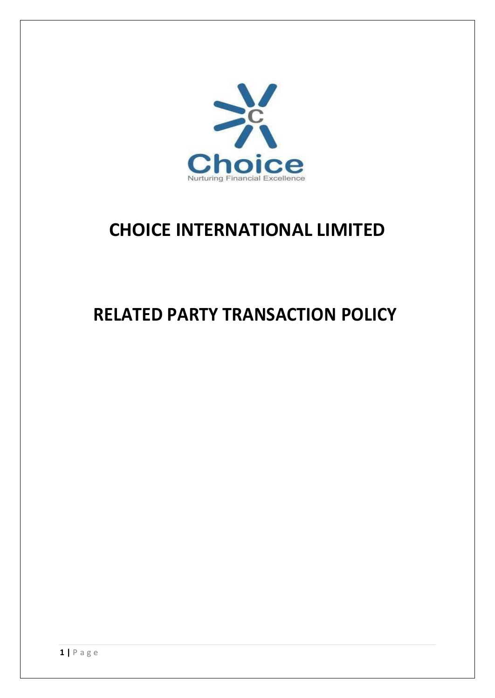

## **CHOICE INTERNATIONAL LIMITED**

# **RELATED PARTY TRANSACTION POLICY**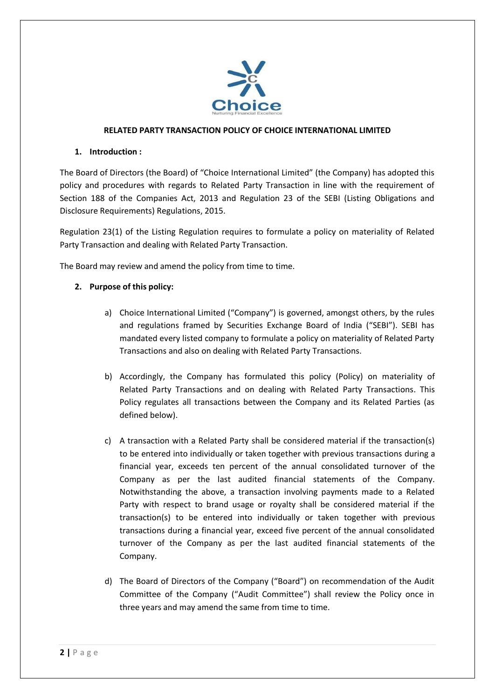

#### **RELATED PARTY TRANSACTION POLICY OF CHOICE INTERNATIONAL LIMITED**

#### **1. Introduction :**

The Board of Directors (the Board) of "Choice International Limited" (the Company) has adopted this policy and procedures with regards to Related Party Transaction in line with the requirement of Section 188 of the Companies Act, 2013 and Regulation 23 of the SEBI (Listing Obligations and Disclosure Requirements) Regulations, 2015.

Regulation 23(1) of the Listing Regulation requires to formulate a policy on materiality of Related Party Transaction and dealing with Related Party Transaction.

The Board may review and amend the policy from time to time.

## **2. Purpose of this policy:**

- a) Choice International Limited ("Company") is governed, amongst others, by the rules and regulations framed by Securities Exchange Board of India ("SEBI"). SEBI has mandated every listed company to formulate a policy on materiality of Related Party Transactions and also on dealing with Related Party Transactions.
- b) Accordingly, the Company has formulated this policy (Policy) on materiality of Related Party Transactions and on dealing with Related Party Transactions. This Policy regulates all transactions between the Company and its Related Parties (as defined below).
- c) A transaction with a Related Party shall be considered material if the transaction(s) to be entered into individually or taken together with previous transactions during a financial year, exceeds ten percent of the annual consolidated turnover of the Company as per the last audited financial statements of the Company. Notwithstanding the above, a transaction involving payments made to a Related Party with respect to brand usage or royalty shall be considered material if the transaction(s) to be entered into individually or taken together with previous transactions during a financial year, exceed five percent of the annual consolidated turnover of the Company as per the last audited financial statements of the Company.
- d) The Board of Directors of the Company ("Board") on recommendation of the Audit Committee of the Company ("Audit Committee") shall review the Policy once in three years and may amend the same from time to time.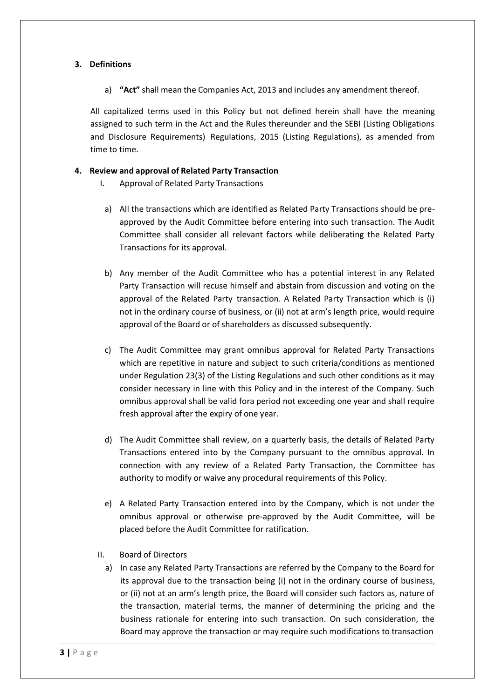## **3. Definitions**

a) **"Act"** shall mean the Companies Act, 2013 and includes any amendment thereof.

All capitalized terms used in this Policy but not defined herein shall have the meaning assigned to such term in the Act and the Rules thereunder and the SEBI (Listing Obligations and Disclosure Requirements) Regulations, 2015 (Listing Regulations), as amended from time to time.

#### **4. Review and approval of Related Party Transaction**

- I. Approval of Related Party Transactions
- a) All the transactions which are identified as Related Party Transactions should be preapproved by the Audit Committee before entering into such transaction. The Audit Committee shall consider all relevant factors while deliberating the Related Party Transactions for its approval.
- b) Any member of the Audit Committee who has a potential interest in any Related Party Transaction will recuse himself and abstain from discussion and voting on the approval of the Related Party transaction. A Related Party Transaction which is (i) not in the ordinary course of business, or (ii) not at arm's length price, would require approval of the Board or of shareholders as discussed subsequently.
- c) The Audit Committee may grant omnibus approval for Related Party Transactions which are repetitive in nature and subject to such criteria/conditions as mentioned under Regulation 23(3) of the Listing Regulations and such other conditions as it may consider necessary in line with this Policy and in the interest of the Company. Such omnibus approval shall be valid fora period not exceeding one year and shall require fresh approval after the expiry of one year.
- d) The Audit Committee shall review, on a quarterly basis, the details of Related Party Transactions entered into by the Company pursuant to the omnibus approval. In connection with any review of a Related Party Transaction, the Committee has authority to modify or waive any procedural requirements of this Policy.
- e) A Related Party Transaction entered into by the Company, which is not under the omnibus approval or otherwise pre-approved by the Audit Committee, will be placed before the Audit Committee for ratification.
- II. Board of Directors
	- a) In case any Related Party Transactions are referred by the Company to the Board for its approval due to the transaction being (i) not in the ordinary course of business, or (ii) not at an arm's length price, the Board will consider such factors as, nature of the transaction, material terms, the manner of determining the pricing and the business rationale for entering into such transaction. On such consideration, the Board may approve the transaction or may require such modifications to transaction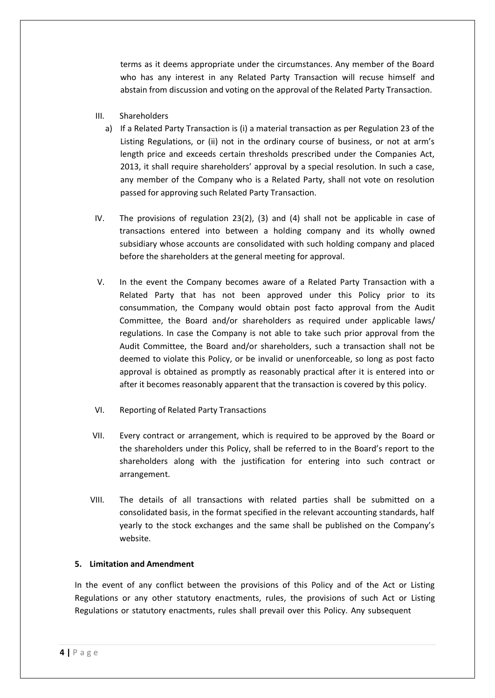terms as it deems appropriate under the circumstances. Any member of the Board who has any interest in any Related Party Transaction will recuse himself and abstain from discussion and voting on the approval of the Related Party Transaction.

- III. Shareholders
	- a) If a Related Party Transaction is (i) a material transaction as per Regulation 23 of the Listing Regulations, or (ii) not in the ordinary course of business, or not at arm's length price and exceeds certain thresholds prescribed under the Companies Act, 2013, it shall require shareholders' approval by a special resolution. In such a case, any member of the Company who is a Related Party, shall not vote on resolution passed for approving such Related Party Transaction.
- IV. The provisions of regulation 23(2), (3) and (4) shall not be applicable in case of transactions entered into between a holding company and its wholly owned subsidiary whose accounts are consolidated with such holding company and placed before the shareholders at the general meeting for approval.
- V. In the event the Company becomes aware of a Related Party Transaction with a Related Party that has not been approved under this Policy prior to its consummation, the Company would obtain post facto approval from the Audit Committee, the Board and/or shareholders as required under applicable laws/ regulations. In case the Company is not able to take such prior approval from the Audit Committee, the Board and/or shareholders, such a transaction shall not be deemed to violate this Policy, or be invalid or unenforceable, so long as post facto approval is obtained as promptly as reasonably practical after it is entered into or after it becomes reasonably apparent that the transaction is covered by this policy.
- VI. Reporting of Related Party Transactions
- VII. Every contract or arrangement, which is required to be approved by the Board or the shareholders under this Policy, shall be referred to in the Board's report to the shareholders along with the justification for entering into such contract or arrangement.
- VIII. The details of all transactions with related parties shall be submitted on a consolidated basis, in the format specified in the relevant accounting standards, half yearly to the stock exchanges and the same shall be published on the Company's website.

## **5. Limitation and Amendment**

In the event of any conflict between the provisions of this Policy and of the Act or Listing Regulations or any other statutory enactments, rules, the provisions of such Act or Listing Regulations or statutory enactments, rules shall prevail over this Policy. Any subsequent